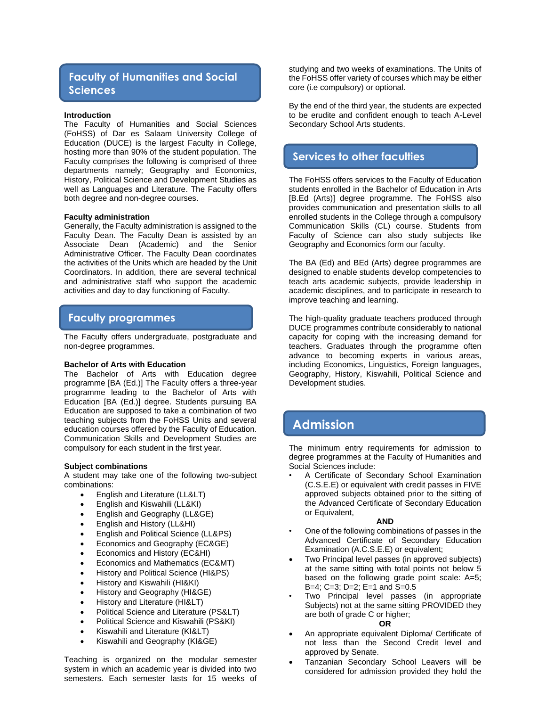# **Faculty of Humanities and Social Sciences**

### **Introduction**

The Faculty of Humanities and Social Sciences (FoHSS) of Dar es Salaam University College of Education (DUCE) is the largest Faculty in College, hosting more than 90% of the student population. The Faculty comprises the following is comprised of three departments namely; Geography and Economics, History, Political Science and Development Studies as well as Languages and Literature. The Faculty offers both degree and non-degree courses.

### **Faculty administration**

Generally, the Faculty administration is assigned to the Faculty Dean. The Faculty Dean is assisted by an Associate Dean (Academic) and the Senior Administrative Officer. The Faculty Dean coordinates the activities of the Units which are headed by the Unit Coordinators. In addition, there are several technical and administrative staff who support the academic activities and day to day functioning of Faculty.

# **Faculty programmes**

The Faculty offers undergraduate, postgraduate and non-degree programmes.

### **Bachelor of Arts with Education**

The Bachelor of Arts with Education degree programme [BA (Ed.)] The Faculty offers a three-year programme leading to the Bachelor of Arts with Education [BA (Ed.)] degree. Students pursuing BA Education are supposed to take a combination of two teaching subjects from the FoHSS Units and several education courses offered by the Faculty of Education. Communication Skills and Development Studies are compulsory for each student in the first year.

### **Subject combinations**

A student may take one of the following two-subject combinations:

- English and Literature (LL&LT)
- English and Kiswahili (LL&KI)
- English and Geography (LL&GE)
- English and History (LL&HI)
- English and Political Science (LL&PS)
- Economics and Geography (EC&GE)
- Economics and History (EC&HI)
- Economics and Mathematics (EC&MT)
- History and Political Science (HI&PS)
- History and Kiswahili (HI&KI)
- History and Geography (HI&GE)
- History and Literature (HI&LT)
- Political Science and Literature (PS&LT)
- Political Science and Kiswahili (PS&KI)
- Kiswahili and Literature (KI&LT)
- Kiswahili and Geography (KI&GE)

Teaching is organized on the modular semester system in which an academic year is divided into two semesters. Each semester lasts for 15 weeks of

studying and two weeks of examinations. The Units of the FoHSS offer variety of courses which may be either core (i.e compulsory) or optional.

By the end of the third year, the students are expected to be erudite and confident enough to teach A-Level Secondary School Arts students.

# **Services to other faculties**

The FoHSS offers services to the Faculty of Education students enrolled in the Bachelor of Education in Arts [B.Ed (Arts)] degree programme. The FoHSS also provides communication and presentation skills to all enrolled students in the College through a compulsory Communication Skills (CL) course. Students from Faculty of Science can also study subjects like Geography and Economics form our faculty.

The BA (Ed) and BEd (Arts) degree programmes are designed to enable students develop competencies to teach arts academic subjects, provide leadership in academic disciplines, and to participate in research to improve teaching and learning.

The high-quality graduate teachers produced through DUCE programmes contribute considerably to national capacity for coping with the increasing demand for teachers. Graduates through the programme often advance to becoming experts in various areas, including Economics, Linguistics, Foreign languages, Geography, History, Kiswahili, Political Science and Development studies.

# **Admission**

The minimum entry requirements for admission to degree programmes at the Faculty of Humanities and Social Sciences include:

• A Certificate of Secondary School Examination (C.S.E.E) or equivalent with credit passes in FIVE approved subjects obtained prior to the sitting of the Advanced Certificate of Secondary Education or Equivalent,

### **AND**

- One of the following combinations of passes in the Advanced Certificate of Secondary Education Examination (A.C.S.E.E) or equivalent;
- Two Principal level passes (in approved subjects) at the same sitting with total points not below 5 based on the following grade point scale: A=5; B=4; C=3; D=2; E=1 and S=0.5
- Two Principal level passes (in appropriate Subjects) not at the same sitting PROVIDED they are both of grade C or higher;

### **OR**

- An appropriate equivalent Diploma/ Certificate of not less than the Second Credit level and approved by Senate.
- Tanzanian Secondary School Leavers will be considered for admission provided they hold the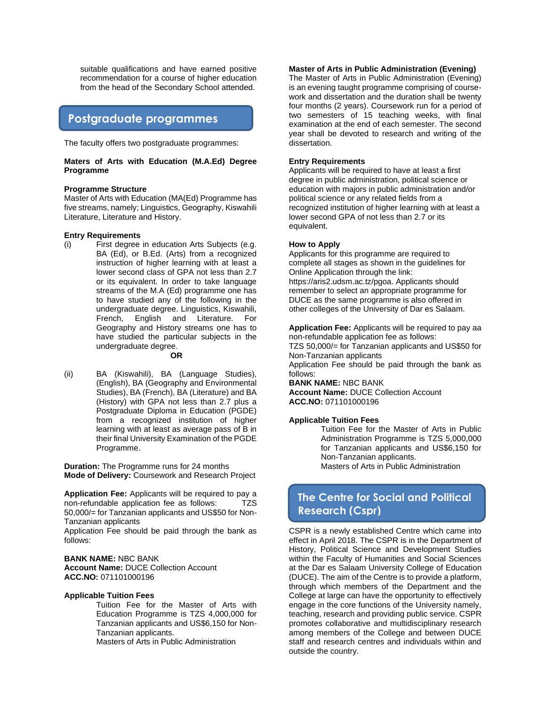suitable qualifications and have earned positive recommendation for a course of higher education from the head of the Secondary School attended.

# **Postgraduate programmes**

The faculty offers two postgraduate programmes:

## **Maters of Arts with Education (M.A.Ed) Degree Programme**

### **Programme Structure**

Master of Arts with Education (MA(Ed) Programme has five streams, namely; Linguistics, Geography, Kiswahili Literature, Literature and History.

### **Entry Requirements**

(i) First degree in education Arts Subjects (e.g. BA (Ed), or B.Ed. (Arts) from a recognized instruction of higher learning with at least a lower second class of GPA not less than 2.7 or its equivalent. In order to take language streams of the M.A (Ed) programme one has to have studied any of the following in the undergraduate degree. Linguistics, Kiswahili, French, English and Literature. For Geography and History streams one has to have studied the particular subjects in the undergraduate degree.

### **OR**

(ii) BA (Kiswahili), BA (Language Studies), (English), BA (Geography and Environmental Studies), BA (French), BA (Literature) and BA (History) with GPA not less than 2.7 plus a Postgraduate Diploma in Education (PGDE) from a recognized institution of higher learning with at least as average pass of B in their final University Examination of the PGDE Programme.

**Duration:** The Programme runs for 24 months **Mode of Delivery:** Coursework and Research Project

**Application Fee:** Applicants will be required to pay a non-refundable application fee as follows: TZS 50,000/= for Tanzanian applicants and US\$50 for Non-Tanzanian applicants

Application Fee should be paid through the bank as follows:

**BANK NAME:** NBC BANK **Account Name:** DUCE Collection Account **ACC.NO:** 071101000196

## **Applicable Tuition Fees**

Tuition Fee for the Master of Arts with Education Programme is TZS 4,000,000 for Tanzanian applicants and US\$6,150 for Non-Tanzanian applicants.

Masters of Arts in Public Administration

## **Master of Arts in Public Administration (Evening)**

The Master of Arts in Public Administration (Evening) is an evening taught programme comprising of coursework and dissertation and the duration shall be twenty four months (2 years). Coursework run for a period of two semesters of 15 teaching weeks, with final examination at the end of each semester. The second year shall be devoted to research and writing of the dissertation.

## **Entry Requirements**

Applicants will be required to have at least a first degree in public administration, political science or education with majors in public administration and/or political science or any related fields from a recognized institution of higher learning with at least a lower second GPA of not less than 2.7 or its equivalent.

### **How to Apply**

Applicants for this programme are required to complete all stages as shown in the guidelines for Online Application through the link: https://aris2.udsm.ac.tz/pgoa. Applicants should remember to select an appropriate programme for DUCE as the same programme is also offered in other colleges of the University of Dar es Salaam.

**Application Fee:** Applicants will be required to pay aa non-refundable application fee as follows: TZS 50,000/= for Tanzanian applicants and US\$50 for Non-Tanzanian applicants Application Fee should be paid through the bank as follows: **BANK NAME:** NBC BANK

**Account Name:** DUCE Collection Account **ACC.NO:** 071101000196

# **Applicable Tuition Fees**

Tuition Fee for the Master of Arts in Public Administration Programme is TZS 5,000,000 for Tanzanian applicants and US\$6,150 for Non-Tanzanian applicants. Masters of Arts in Public Administration

# **The Centre for Social and Political Research (Cspr)**

CSPR is a newly established Centre which came into effect in April 2018. The CSPR is in the Department of History, Political Science and Development Studies within the Faculty of Humanities and Social Sciences at the Dar es Salaam University College of Education (DUCE). The aim of the Centre is to provide a platform, through which members of the Department and the College at large can have the opportunity to effectively engage in the core functions of the University namely, teaching, research and providing public service. CSPR promotes collaborative and multidisciplinary research among members of the College and between DUCE staff and research centres and individuals within and outside the country.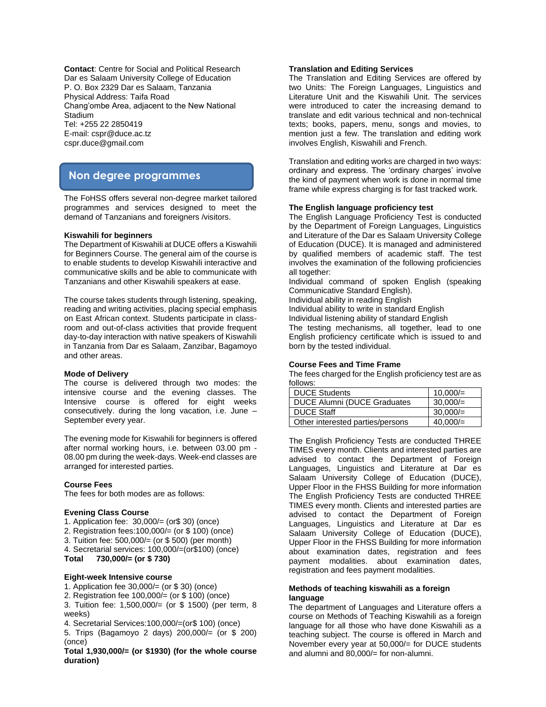**Contact**: Centre for Social and Political Research Dar es Salaam University College of Education P. O. Box 2329 Dar es Salaam, Tanzania Physical Address: Taifa Road Chang'ombe Area, adjacent to the New National **Stadium** Tel: +255 22 2850419 E-mail: cspr@duce.ac.tz cspr.duce@gmail.com

# **Non degree programmes**

The FoHSS offers several non-degree market tailored programmes and services designed to meet the demand of Tanzanians and foreigners /visitors.

### **Kiswahili for beginners**

The Department of Kiswahili at DUCE offers a Kiswahili for Beginners Course. The general aim of the course is to enable students to develop Kiswahili interactive and communicative skills and be able to communicate with Tanzanians and other Kiswahili speakers at ease.

The course takes students through listening, speaking, reading and writing activities, placing special emphasis on East African context. Students participate in classroom and out-of-class activities that provide frequent day-to-day interaction with native speakers of Kiswahili in Tanzania from Dar es Salaam, Zanzibar, Bagamoyo and other areas.

### **Mode of Delivery**

The course is delivered through two modes: the intensive course and the evening classes. The Intensive course is offered for eight weeks consecutively. during the long vacation, i.e. June – September every year.

The evening mode for Kiswahili for beginners is offered after normal working hours, i.e. between 03.00 pm - 08.00 pm during the week-days. Week-end classes are arranged for interested parties.

### **Course Fees**

The fees for both modes are as follows:

### **Evening Class Course**

- 1. Application fee: 30,000/= (or\$ 30) (once)
- 2. Registration fees:100,000/= (or \$ 100) (once)
- 3. Tuition fee: 500,000/= (or \$ 500) (per month)
- 4. Secretarial services: 100,000/=(or\$100) (once)

**Total 730,000/= (or \$ 730)**

### **Eight-week Intensive course**

- 1. Application fee 30,000/= (or \$ 30) (once)
- 2. Registration fee 100,000/= (or \$ 100) (once)
- 3. Tuition fee: 1,500,000/= (or \$ 1500) (per term, 8 weeks)
- 4. Secretarial Services:100,000/=(or\$ 100) (once) 5. Trips (Bagamoyo 2 days) 200,000/= (or \$ 200) (once)

**Total 1,930,000/= (or \$1930) (for the whole course duration)**

### **Translation and Editing Services**

The Translation and Editing Services are offered by two Units: The Foreign Languages, Linguistics and Literature Unit and the Kiswahili Unit. The services were introduced to cater the increasing demand to translate and edit various technical and non-technical texts; books, papers, menu, songs and movies, to mention just a few. The translation and editing work involves English, Kiswahili and French.

Translation and editing works are charged in two ways: ordinary and express. The 'ordinary charges' involve the kind of payment when work is done in normal time frame while express charging is for fast tracked work.

### **The English language proficiency test**

The English Language Proficiency Test is conducted by the Department of Foreign Languages, Linguistics and Literature of the Dar es Salaam University College of Education (DUCE). It is managed and administered by qualified members of academic staff. The test involves the examination of the following proficiencies all together:

Individual command of spoken English (speaking Communicative Standard English).

Individual ability in reading English

Individual ability to write in standard English

Individual listening ability of standard English

The testing mechanisms, all together, lead to one English proficiency certificate which is issued to and born by the tested individual.

### **Course Fees and Time Frame**

The fees charged for the English proficiency test are as follows:

| <b>DUCE Students</b>               | 10,000/    |
|------------------------------------|------------|
| <b>DUCE Alumni (DUCE Graduates</b> | 30,000/    |
| <b>DUCE Staff</b>                  | 30,000/    |
| Other interested parties/persons   | $40.000 =$ |

The English Proficiency Tests are conducted THREE TIMES every month. Clients and interested parties are advised to contact the Department of Foreign Languages, Linguistics and Literature at Dar es Salaam University College of Education (DUCE), Upper Floor in the FHSS Building for more information The English Proficiency Tests are conducted THREE TIMES every month. Clients and interested parties are advised to contact the Department of Foreign Languages, Linguistics and Literature at Dar es Salaam University College of Education (DUCE), Upper Floor in the FHSS Building for more information about examination dates, registration and fees payment modalities. about examination dates, registration and fees payment modalities.

# **Methods of teaching kiswahili as a foreign language**

The department of Languages and Literature offers a course on Methods of Teaching Kiswahili as a foreign language for all those who have done Kiswahili as a teaching subject. The course is offered in March and November every year at 50,000/= for DUCE students and alumni and 80,000/= for non-alumni.